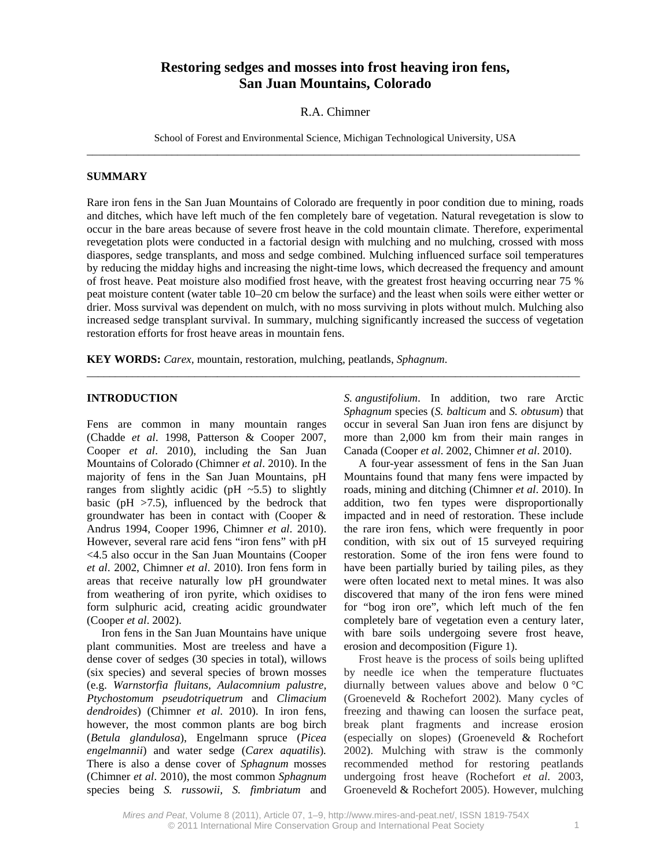# **Restoring sedges and mosses into frost heaving iron fens, San Juan Mountains, Colorado**

#### R.A. Chimner

School of Forest and Environmental Science, Michigan Technological University, USA \_\_\_\_\_\_\_\_\_\_\_\_\_\_\_\_\_\_\_\_\_\_\_\_\_\_\_\_\_\_\_\_\_\_\_\_\_\_\_\_\_\_\_\_\_\_\_\_\_\_\_\_\_\_\_\_\_\_\_\_\_\_\_\_\_\_\_\_\_\_\_\_\_\_\_\_\_\_\_\_\_\_\_\_\_\_\_

#### **SUMMARY**

Rare iron fens in the San Juan Mountains of Colorado are frequently in poor condition due to mining, roads and ditches, which have left much of the fen completely bare of vegetation. Natural revegetation is slow to occur in the bare areas because of severe frost heave in the cold mountain climate. Therefore, experimental revegetation plots were conducted in a factorial design with mulching and no mulching, crossed with moss diaspores, sedge transplants, and moss and sedge combined. Mulching influenced surface soil temperatures by reducing the midday highs and increasing the night-time lows, which decreased the frequency and amount of frost heave. Peat moisture also modified frost heave, with the greatest frost heaving occurring near 75 % peat moisture content (water table 10–20 cm below the surface) and the least when soils were either wetter or drier. Moss survival was dependent on mulch, with no moss surviving in plots without mulch. Mulching also increased sedge transplant survival. In summary, mulching significantly increased the success of vegetation restoration efforts for frost heave areas in mountain fens.

 $\_$  ,  $\_$  ,  $\_$  ,  $\_$  ,  $\_$  ,  $\_$  ,  $\_$  ,  $\_$  ,  $\_$  ,  $\_$  ,  $\_$  ,  $\_$  ,  $\_$  ,  $\_$  ,  $\_$  ,  $\_$  ,  $\_$  ,  $\_$  ,  $\_$  ,  $\_$  ,  $\_$  ,  $\_$  ,  $\_$  ,  $\_$  ,  $\_$  ,  $\_$  ,  $\_$  ,  $\_$  ,  $\_$  ,  $\_$  ,  $\_$  ,  $\_$  ,  $\_$  ,  $\_$  ,  $\_$  ,  $\_$  ,  $\_$  ,

**KEY WORDS:** *Carex,* mountain, restoration, mulching, peatlands, *Sphagnum*.

## **INTRODUCTION**

Fens are common in many mountain ranges (Chadde *et al*. 1998, Patterson & Cooper 2007, Cooper *et al*. 2010), including the San Juan Mountains of Colorado (Chimner *et al*. 2010). In the majority of fens in the San Juan Mountains, pH ranges from slightly acidic ( $pH \sim 5.5$ ) to slightly basic ( $pH > 7.5$ ), influenced by the bedrock that groundwater has been in contact with (Cooper & Andrus 1994, Cooper 1996, Chimner *et al*. 2010). However, several rare acid fens "iron fens" with pH <4.5 also occur in the San Juan Mountains (Cooper *et al*. 2002, Chimner *et al*. 2010). Iron fens form in areas that receive naturally low pH groundwater from weathering of iron pyrite, which oxidises to form sulphuric acid, creating acidic groundwater (Cooper *et al*. 2002).

Iron fens in the San Juan Mountains have unique plant communities. Most are treeless and have a dense cover of sedges (30 species in total), willows (six species) and several species of brown mosses (e.g. *Warnstorfia fluitans, Aulacomnium palustre, Ptychostomum pseudotriquetrum* and *Climacium dendroides*) (Chimner *et al*. 2010). In iron fens, however, the most common plants are bog birch (*Betula glandulosa*), Engelmann spruce (*Picea engelmannii*) and water sedge (*Carex aquatilis*)*.* There is also a dense cover of *Sphagnum* mosses (Chimner *et al*. 2010), the most common *Sphagnum*  species being *S. russowii, S. fimbriatum* and

*S. angustifolium*. In addition, two rare Arctic *Sphagnum* species (*S. balticum* and *S. obtusum*) that occur in several San Juan iron fens are disjunct by more than 2,000 km from their main ranges in Canada (Cooper *et al*. 2002, Chimner *et al*. 2010).

A four-year assessment of fens in the San Juan Mountains found that many fens were impacted by roads, mining and ditching (Chimner *et al*. 2010). In addition, two fen types were disproportionally impacted and in need of restoration. These include the rare iron fens, which were frequently in poor condition, with six out of 15 surveyed requiring restoration. Some of the iron fens were found to have been partially buried by tailing piles, as they were often located next to metal mines. It was also discovered that many of the iron fens were mined for "bog iron ore", which left much of the fen completely bare of vegetation even a century later, with bare soils undergoing severe frost heave, erosion and decomposition (Figure 1).

Frost heave is the process of soils being uplifted by needle ice when the temperature fluctuates diurnally between values above and below 0 °C (Groeneveld & Rochefort 2002)*.* Many cycles of freezing and thawing can loosen the surface peat, break plant fragments and increase erosion (especially on slopes) (Groeneveld & Rochefort 2002). Mulching with straw is the commonly recommended method for restoring peatlands undergoing frost heave (Rochefort *et al*. 2003, Groeneveld & Rochefort 2005). However, mulching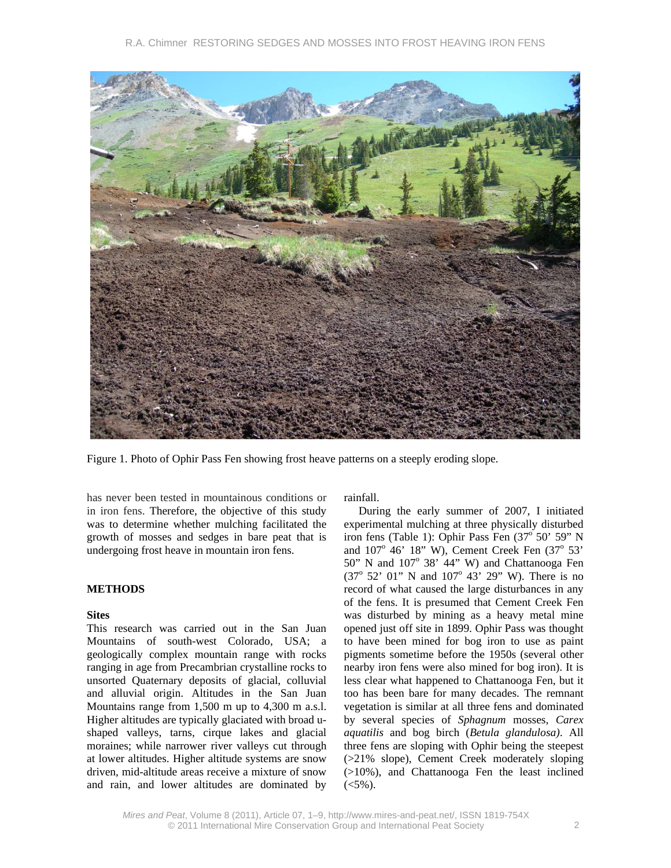

Figure 1. Photo of Ophir Pass Fen showing frost heave patterns on a steeply eroding slope.

has never been tested in mountainous conditions or in iron fens. Therefore, the objective of this study was to determine whether mulching facilitated the growth of mosses and sedges in bare peat that is undergoing frost heave in mountain iron fens.

### **METHODS**

### **Sites**

This research was carried out in the San Juan Mountains of south-west Colorado, USA; a geologically complex mountain range with rocks ranging in age from Precambrian crystalline rocks to unsorted Quaternary deposits of glacial, colluvial and alluvial origin. Altitudes in the San Juan Mountains range from 1,500 m up to 4,300 m a.s.l. Higher altitudes are typically glaciated with broad ushaped valleys, tarns, cirque lakes and glacial moraines; while narrower river valleys cut through at lower altitudes. Higher altitude systems are snow driven, mid-altitude areas receive a mixture of snow and rain, and lower altitudes are dominated by rainfall.

During the early summer of 2007, I initiated experimental mulching at three physically disturbed iron fens (Table 1): Ophir Pass Fen (37<sup>°</sup> 50' 59" N and  $107^\circ$  46' 18" W), Cement Creek Fen  $(37^\circ 53'$  $50"$  N and  $107°$  38' 44" W) and Chattanooga Fen (37° 52' 01" N and 107° 43' 29" W). There is no record of what caused the large disturbances in any of the fens. It is presumed that Cement Creek Fen was disturbed by mining as a heavy metal mine opened just off site in 1899. Ophir Pass was thought to have been mined for bog iron to use as paint pigments sometime before the 1950s (several other nearby iron fens were also mined for bog iron). It is less clear what happened to Chattanooga Fen, but it too has been bare for many decades. The remnant vegetation is similar at all three fens and dominated by several species of *Sphagnum* mosses, *Carex aquatilis* and bog birch (*Betula glandulosa)*. All three fens are sloping with Ophir being the steepest (>21% slope), Cement Creek moderately sloping (>10%), and Chattanooga Fen the least inclined  $(<5\%)$ .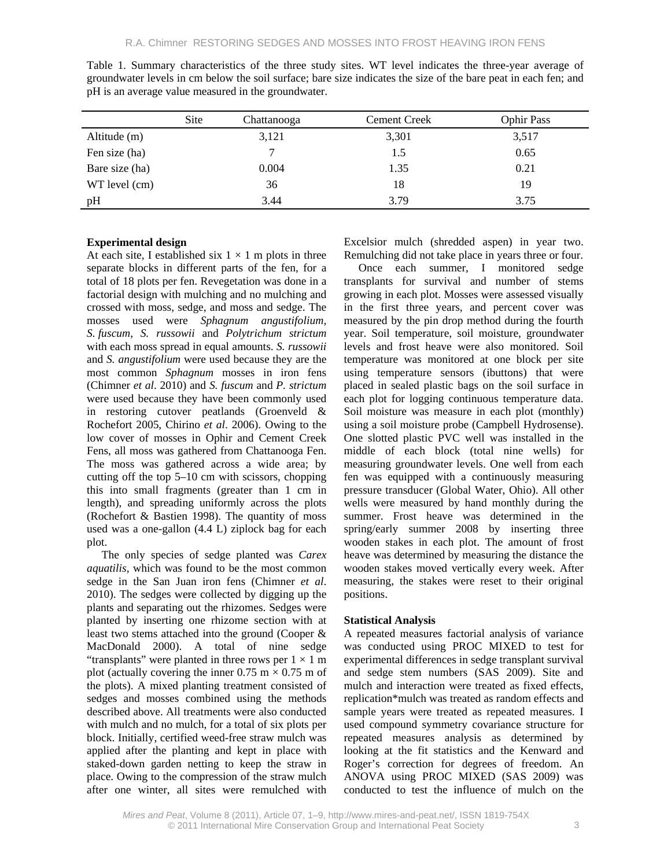|                | <b>Site</b> | Chattanooga | <b>Cement Creek</b> | <b>Ophir Pass</b> |
|----------------|-------------|-------------|---------------------|-------------------|
| Altitude (m)   |             | 3,121       | 3,301               | 3,517             |
| Fen size (ha)  |             |             | 1.5                 | 0.65              |
| Bare size (ha) |             | 0.004       | 1.35                | 0.21              |
| WT level (cm)  |             | 36          | 18                  | 19                |
| pH             |             | 3.44        | 3.79                | 3.75              |

Table 1. Summary characteristics of the three study sites. WT level indicates the three-year average of groundwater levels in cm below the soil surface; bare size indicates the size of the bare peat in each fen; and pH is an average value measured in the groundwater.

### **Experimental design**

At each site, I established six  $1 \times 1$  m plots in three separate blocks in different parts of the fen, for a total of 18 plots per fen. Revegetation was done in a factorial design with mulching and no mulching and crossed with moss, sedge, and moss and sedge. The mosses used were *Sphagnum angustifolium, S. fuscum, S. russowii* and *Polytrichum strictum*  with each moss spread in equal amounts. *S. russowii* and *S. angustifolium* were used because they are the most common *Sphagnum* mosses in iron fens (Chimner *et al*. 2010) and *S. fuscum* and *P. strictum* were used because they have been commonly used in restoring cutover peatlands (Groenveld & Rochefort 2005, Chirino *et al*. 2006). Owing to the low cover of mosses in Ophir and Cement Creek Fens, all moss was gathered from Chattanooga Fen. The moss was gathered across a wide area; by cutting off the top 5–10 cm with scissors, chopping this into small fragments (greater than 1 cm in length), and spreading uniformly across the plots (Rochefort & Bastien 1998). The quantity of moss used was a one-gallon (4.4 L) ziplock bag for each plot.

The only species of sedge planted was *Carex aquatilis,* which was found to be the most common sedge in the San Juan iron fens (Chimner *et al*. 2010). The sedges were collected by digging up the plants and separating out the rhizomes. Sedges were planted by inserting one rhizome section with at least two stems attached into the ground (Cooper & MacDonald 2000). A total of nine sedge "transplants" were planted in three rows per  $1 \times 1$  m plot (actually covering the inner 0.75 m  $\times$  0.75 m of the plots). A mixed planting treatment consisted of sedges and mosses combined using the methods described above. All treatments were also conducted with mulch and no mulch, for a total of six plots per block. Initially, certified weed-free straw mulch was applied after the planting and kept in place with staked-down garden netting to keep the straw in place. Owing to the compression of the straw mulch after one winter, all sites were remulched with

Excelsior mulch (shredded aspen) in year two. Remulching did not take place in years three or four.

Once each summer, I monitored sedge transplants for survival and number of stems growing in each plot. Mosses were assessed visually in the first three years, and percent cover was measured by the pin drop method during the fourth year. Soil temperature, soil moisture, groundwater levels and frost heave were also monitored. Soil temperature was monitored at one block per site using temperature sensors (ibuttons) that were placed in sealed plastic bags on the soil surface in each plot for logging continuous temperature data. Soil moisture was measure in each plot (monthly) using a soil moisture probe (Campbell Hydrosense). One slotted plastic PVC well was installed in the middle of each block (total nine wells) for measuring groundwater levels. One well from each fen was equipped with a continuously measuring pressure transducer (Global Water, Ohio). All other wells were measured by hand monthly during the summer. Frost heave was determined in the spring/early summer 2008 by inserting three wooden stakes in each plot. The amount of frost heave was determined by measuring the distance the wooden stakes moved vertically every week. After measuring, the stakes were reset to their original positions.

### **Statistical Analysis**

A repeated measures factorial analysis of variance was conducted using PROC MIXED to test for experimental differences in sedge transplant survival and sedge stem numbers (SAS 2009). Site and mulch and interaction were treated as fixed effects, replication\*mulch was treated as random effects and sample years were treated as repeated measures. I used compound symmetry covariance structure for repeated measures analysis as determined by looking at the fit statistics and the Kenward and Roger's correction for degrees of freedom. An ANOVA using PROC MIXED (SAS 2009) was conducted to test the influence of mulch on the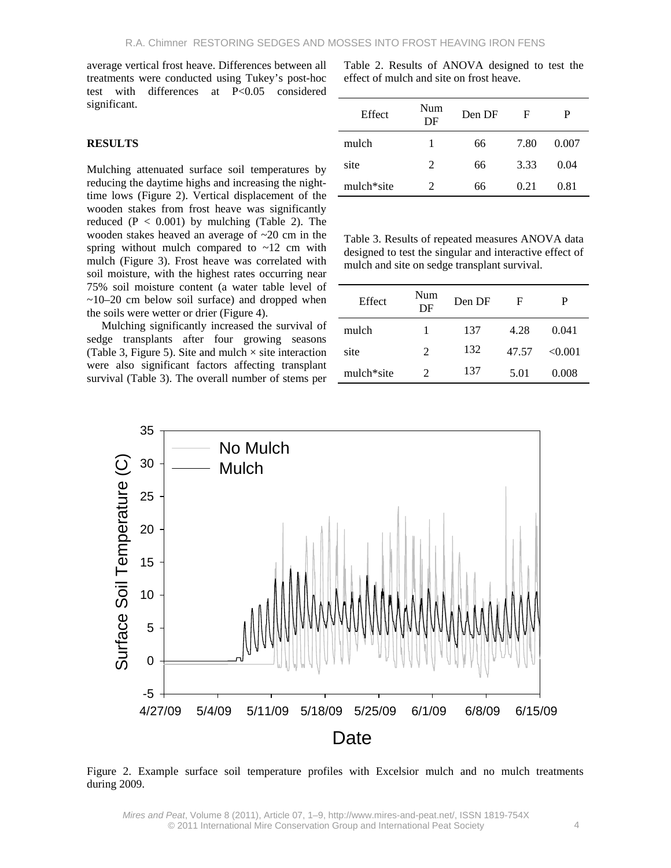average vertical frost heave. Differences between all treatments were conducted using Tukey's post-hoc test with differences at P<0.05 considered significant.

#### **RESULTS**

Mulching attenuated surface soil temperatures by reducing the daytime highs and increasing the nighttime lows (Figure 2). Vertical displacement of the wooden stakes from frost heave was significantly reduced  $(P < 0.001)$  by mulching (Table 2). The wooden stakes heaved an average of ~20 cm in the spring without mulch compared to  $\sim$ 12 cm with mulch (Figure 3). Frost heave was correlated with soil moisture, with the highest rates occurring near 75% soil moisture content (a water table level of  $\sim$ 10–20 cm below soil surface) and dropped when the soils were wetter or drier (Figure 4).

Mulching significantly increased the survival of sedge transplants after four growing seasons (Table 3, Figure 5). Site and mulch  $\times$  site interaction were also significant factors affecting transplant survival (Table 3). The overall number of stems per Table 2. Results of ANOVA designed to test the effect of mulch and site on frost heave.

| Effect     | Num<br>DF | Den DF | F    | P     |
|------------|-----------|--------|------|-------|
| mulch      |           | 66     | 7.80 | 0.007 |
| site       | 2         | 66     | 3.33 | 0.04  |
| mulch*site | 2         | 66     | 0.21 | 0.81  |

Table 3. Results of repeated measures ANOVA data designed to test the singular and interactive effect of mulch and site on sedge transplant survival.

| Effect     | Num<br>DF             | Den DF | F     | P       |
|------------|-----------------------|--------|-------|---------|
| mulch      | L                     | 137    | 4.28  | 0.041   |
| site       | 2                     | 132    | 47.57 | < 0.001 |
| mulch*site | $\mathcal{D}_{\cdot}$ | 137    | 5.01  | 0.008   |



Figure 2. Example surface soil temperature profiles with Excelsior mulch and no mulch treatments during 2009.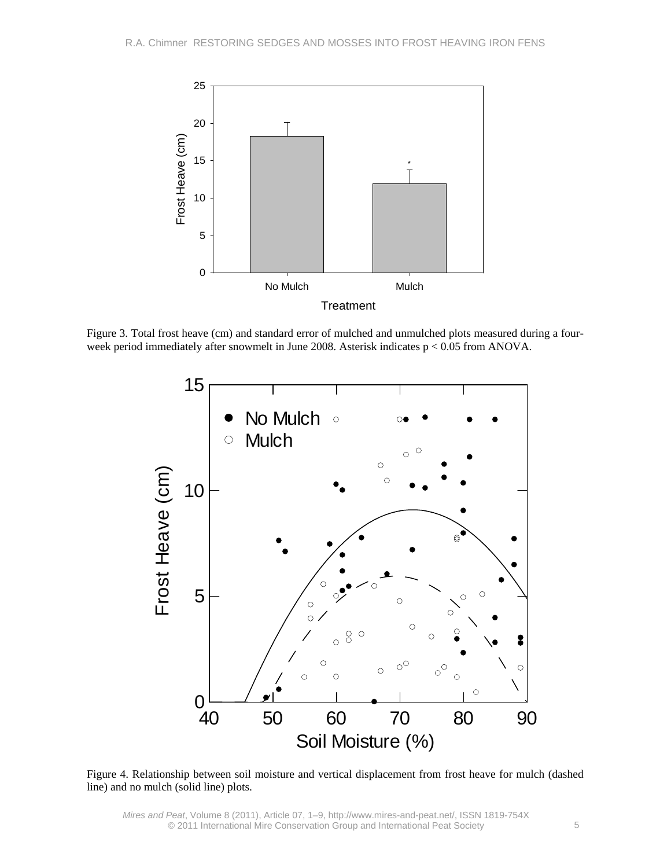

Figure 3. Total frost heave (cm) and standard error of mulched and unmulched plots measured during a fourweek period immediately after snowmelt in June 2008. Asterisk indicates p < 0.05 from ANOVA.



Figure 4. Relationship between soil moisture and vertical displacement from frost heave for mulch (dashed line) and no mulch (solid line) plots.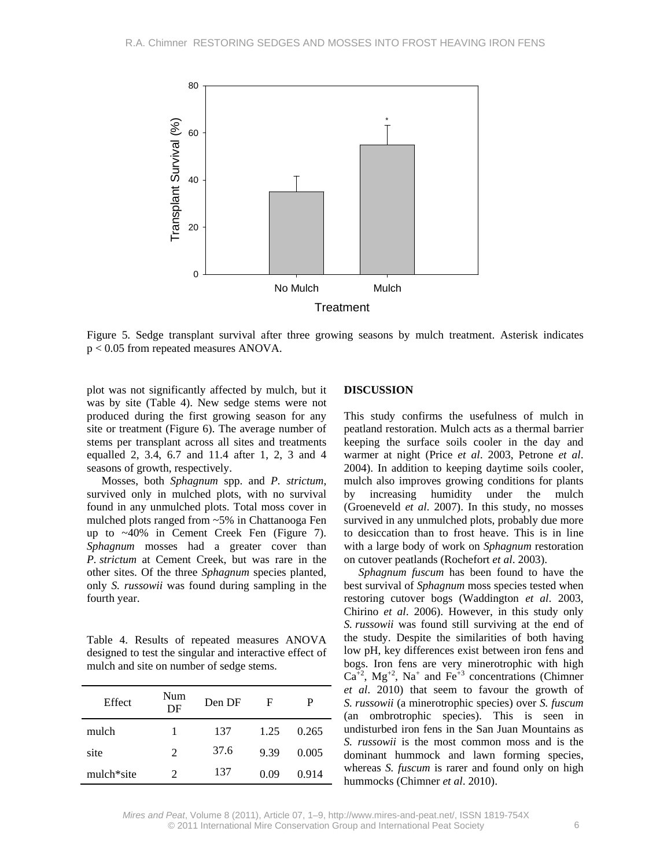

Figure 5. Sedge transplant survival after three growing seasons by mulch treatment. Asterisk indicates p < 0.05 from repeated measures ANOVA.

plot was not significantly affected by mulch, but it was by site (Table 4). New sedge stems were not produced during the first growing season for any site or treatment (Figure 6). The average number of stems per transplant across all sites and treatments equalled 2, 3.4, 6.7 and 11.4 after 1, 2, 3 and 4 seasons of growth, respectively.

Mosses, both *Sphagnum* spp. and *P. strictum*, survived only in mulched plots, with no survival found in any unmulched plots. Total moss cover in mulched plots ranged from ~5% in Chattanooga Fen up to ~40% in Cement Creek Fen (Figure 7). *Sphagnum* mosses had a greater cover than *P. strictum* at Cement Creek, but was rare in the other sites. Of the three *Sphagnum* species planted, only *S. russowii* was found during sampling in the fourth year.

Table 4. Results of repeated measures ANOVA designed to test the singular and interactive effect of mulch and site on number of sedge stems.

| Effect     | Num<br>DF | Den DF | F    | P     |
|------------|-----------|--------|------|-------|
| mulch      | 1         | 137    | 1.25 | 0.265 |
| site       | 2         | 37.6   | 9.39 | 0.005 |
| mulch*site | 2         | 137    | 0.09 | 0.914 |

#### **DISCUSSION**

This study confirms the usefulness of mulch in peatland restoration. Mulch acts as a thermal barrier keeping the surface soils cooler in the day and warmer at night (Price *et al*. 2003, Petrone *et al*. 2004). In addition to keeping daytime soils cooler, mulch also improves growing conditions for plants by increasing humidity under the mulch (Groeneveld *et al*. 2007). In this study, no mosses survived in any unmulched plots, probably due more to desiccation than to frost heave. This is in line with a large body of work on *Sphagnum* restoration on cutover peatlands (Rochefort *et al*. 2003).

*Sphagnum fuscum* has been found to have the best survival of *Sphagnum* moss species tested when restoring cutover bogs (Waddington *et al*. 2003, Chirino *et al*. 2006). However, in this study only *S. russowii* was found still surviving at the end of the study. Despite the similarities of both having low pH, key differences exist between iron fens and bogs. Iron fens are very minerotrophic with high  $Ca<sup>+2</sup>$ ,  $Mg<sup>+2</sup>$ ,  $Na<sup>+</sup>$  and  $Fe<sup>+3</sup>$  concentrations (Chimner *et al*. 2010) that seem to favour the growth of *S. russowii* (a minerotrophic species) over *S. fuscum* (an ombrotrophic species). This is seen in undisturbed iron fens in the San Juan Mountains as *S. russowii* is the most common moss and is the dominant hummock and lawn forming species, whereas *S. fuscum* is rarer and found only on high hummocks (Chimner *et al*. 2010).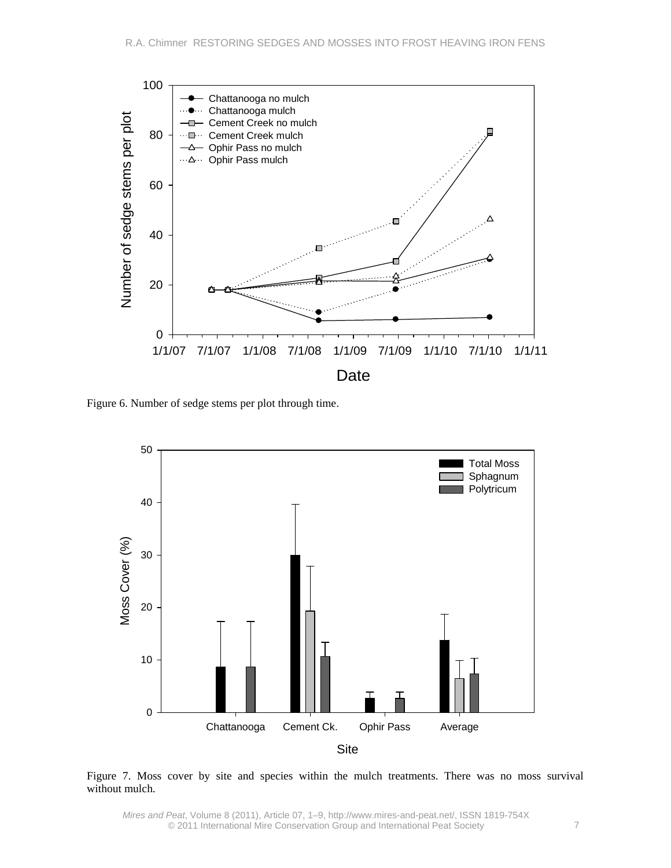

Figure 6. Number of sedge stems per plot through time.



Figure 7. Moss cover by site and species within the mulch treatments. There was no moss survival without mulch.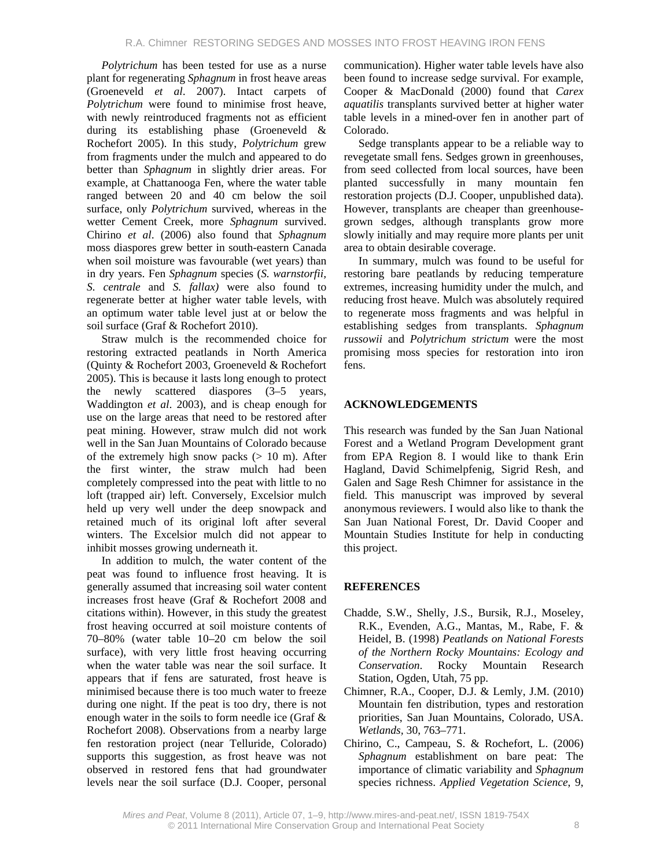*Polytrichum* has been tested for use as a nurse plant for regenerating *Sphagnum* in frost heave areas (Groeneveld *et al*. 2007). Intact carpets of *Polytrichum* were found to minimise frost heave, with newly reintroduced fragments not as efficient during its establishing phase (Groeneveld & Rochefort 2005). In this study, *Polytrichum* grew from fragments under the mulch and appeared to do better than *Sphagnum* in slightly drier areas. For example, at Chattanooga Fen, where the water table ranged between 20 and 40 cm below the soil surface, only *Polytrichum* survived, whereas in the wetter Cement Creek, more *Sphagnum* survived. Chirino *et al*. (2006) also found that *Sphagnum* moss diaspores grew better in south-eastern Canada when soil moisture was favourable (wet years) than in dry years. Fen *Sphagnum* species (*S. warnstorfii, S. centrale* and *S. fallax)* were also found to regenerate better at higher water table levels, with an optimum water table level just at or below the soil surface (Graf & Rochefort 2010).

Straw mulch is the recommended choice for restoring extracted peatlands in North America (Quinty & Rochefort 2003, Groeneveld & Rochefort 2005). This is because it lasts long enough to protect the newly scattered diaspores (3–5 years, Waddington *et al*. 2003), and is cheap enough for use on the large areas that need to be restored after peat mining. However, straw mulch did not work well in the San Juan Mountains of Colorado because of the extremely high snow packs  $(> 10 \text{ m})$ . After the first winter, the straw mulch had been completely compressed into the peat with little to no loft (trapped air) left. Conversely, Excelsior mulch held up very well under the deep snowpack and retained much of its original loft after several winters. The Excelsior mulch did not appear to inhibit mosses growing underneath it.

In addition to mulch, the water content of the peat was found to influence frost heaving. It is generally assumed that increasing soil water content increases frost heave (Graf & Rochefort 2008 and citations within). However, in this study the greatest frost heaving occurred at soil moisture contents of 70–80% (water table 10–20 cm below the soil surface), with very little frost heaving occurring when the water table was near the soil surface. It appears that if fens are saturated, frost heave is minimised because there is too much water to freeze during one night. If the peat is too dry, there is not enough water in the soils to form needle ice (Graf & Rochefort 2008). Observations from a nearby large fen restoration project (near Telluride, Colorado) supports this suggestion, as frost heave was not observed in restored fens that had groundwater levels near the soil surface (D.J. Cooper, personal

communication). Higher water table levels have also been found to increase sedge survival. For example, Cooper & MacDonald (2000) found that *Carex aquatilis* transplants survived better at higher water table levels in a mined-over fen in another part of Colorado.

Sedge transplants appear to be a reliable way to revegetate small fens. Sedges grown in greenhouses, from seed collected from local sources, have been planted successfully in many mountain fen restoration projects (D.J. Cooper, unpublished data). However, transplants are cheaper than greenhousegrown sedges, although transplants grow more slowly initially and may require more plants per unit area to obtain desirable coverage.

In summary, mulch was found to be useful for restoring bare peatlands by reducing temperature extremes, increasing humidity under the mulch, and reducing frost heave. Mulch was absolutely required to regenerate moss fragments and was helpful in establishing sedges from transplants. *Sphagnum russowii* and *Polytrichum strictum* were the most promising moss species for restoration into iron fens.

### **ACKNOWLEDGEMENTS**

This research was funded by the San Juan National Forest and a Wetland Program Development grant from EPA Region 8. I would like to thank Erin Hagland, David Schimelpfenig, Sigrid Resh, and Galen and Sage Resh Chimner for assistance in the field. This manuscript was improved by several anonymous reviewers. I would also like to thank the San Juan National Forest, Dr. David Cooper and Mountain Studies Institute for help in conducting this project.

### **REFERENCES**

- Chadde, S.W., Shelly, J.S., Bursik, R.J., Moseley, R.K., Evenden, A.G., Mantas, M., Rabe, F. & Heidel, B. (1998) *Peatlands on National Forests of the Northern Rocky Mountains: Ecology and Conservation*. Rocky Mountain Research Station, Ogden, Utah, 75 pp.
- Chimner, R.A., Cooper, D.J. & Lemly, J.M. (2010) Mountain fen distribution, types and restoration priorities, San Juan Mountains, Colorado, USA. *Wetlands,* 30, 763–771.
- Chirino, C., Campeau, S. & Rochefort, L. (2006) *Sphagnum* establishment on bare peat: The importance of climatic variability and *Sphagnum* species richness. *Applied Vegetation Science*, 9,